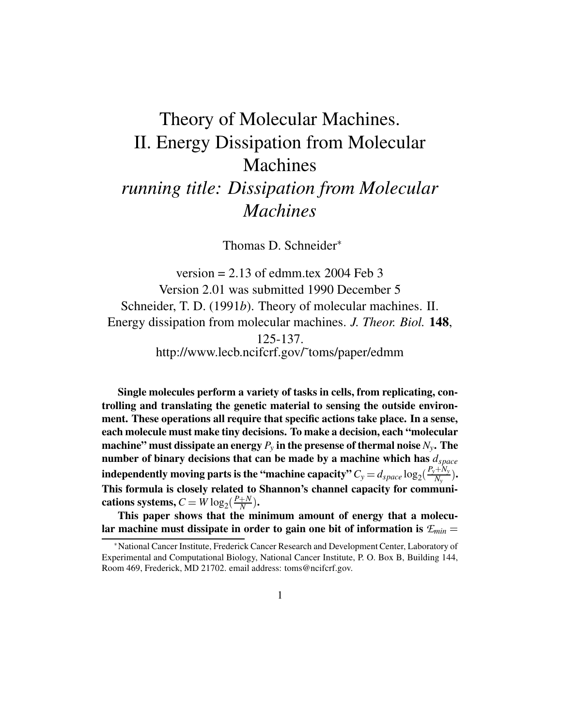# Theory of Molecular Machines. II. Energy Dissipation from Molecular Machines

# *running title: Dissipation from Molecular Machines*

Thomas D. Schneider

version  $= 2.13$  of edmm.tex 2004 Feb 3 Version 2.01 was submitted 1990 December 5 Schneider, T. D. (1991*b*). Theory of molecular machines. II. Energy dissipation from molecular machines. *J. Theor. Biol.* **148**, 125-137. http://www.lecb.ncifcrf.gov/˜toms/paper/edmm

**Single molecules perform a variety of tasks in cells, from replicating, controlling and translating the genetic material to sensing the outside environment. These operations all require that specific actions take place. In a sense, each molecule must make tiny decisions. To make a decision, each "molecular machine" must dissipate an energy** *P<sup>y</sup>* **in the presense of thermal noise** *Ny***. The number of binary decisions that can be made by a machine which has** *dspace* independently moving parts is the "machine capacity"  $C_y = d_{space} \log_2 (\frac{P_y + N_y}{N_v}).$  $\frac{(\pm 1)}{N_y}$ . **This formula is closely related to Shannon's channel capacity for communi-** ${\bf c}$  **ations**  ${\bf s}$   ${\bf y}$   ${\bf stems}, C = W \log_2(\frac{P+N}{N}).$  $\frac{N}{N}$ ).

**This paper shows that the minimum amount of energy that a molecular machine must dissipate in order to gain one bit of information is** *Emin*

National Cancer Institute, Frederick Cancer Research and Development Center, Laboratory of Experimental and Computational Biology, National Cancer Institute, P. O. Box B, Building 144, Room 469, Frederick, MD 21702. email address: toms@ncifcrf.gov.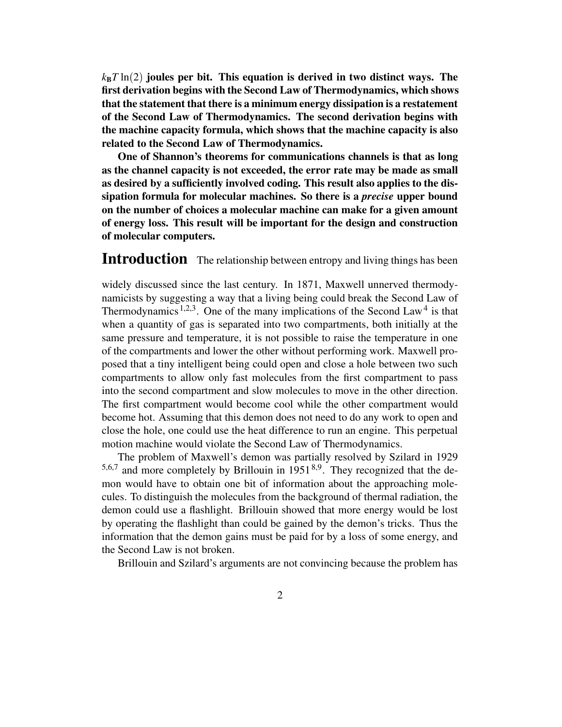$k_{\rm B}$ *T* ln(2) joules per bit. This equation is derived in two distinct ways. The **first derivation begins with the Second Law of Thermodynamics, which shows that the statement that there is a minimum energy dissipation is a restatement of the Second Law of Thermodynamics. The second derivation begins with the machine capacity formula, which shows that the machine capacity is also related to the Second Law of Thermodynamics.**

**One of Shannon's theorems for communications channels is that as long as the channel capacity is not exceeded, the error rate may be made as small as desired by a sufficiently involved coding. This result also applies to the dissipation formula for molecular machines. So there is a** *precise* **upper bound on the number of choices a molecular machine can make for a given amount of energy loss. This result will be important for the design and construction of molecular computers.**

#### **Introduction** The relationship between entropy and living things has been

widely discussed since the last century. In 1871, Maxwell unnerved thermodynamicists by suggesting a way that a living being could break the Second Law of Thermodynamics<sup>1,2,3</sup>. One of the many implications of the Second Law<sup>4</sup> is that when a quantity of gas is separated into two compartments, both initially at the same pressure and temperature, it is not possible to raise the temperature in one of the compartments and lower the other without performing work. Maxwell proposed that a tiny intelligent being could open and close a hole between two such compartments to allow only fast molecules from the first compartment to pass into the second compartment and slow molecules to move in the other direction. The first compartment would become cool while the other compartment would become hot. Assuming that this demon does not need to do any work to open and close the hole, one could use the heat difference to run an engine. This perpetual motion machine would violate the Second Law of Thermodynamics.

The problem of Maxwell's demon was partially resolved by Szilard in 1929  $5,6,7$  and more completely by Brillouin in 1951<sup>8,9</sup>. They recognized that the demon would have to obtain one bit of information about the approaching molecules. To distinguish the molecules from the background of thermal radiation, the demon could use a flashlight. Brillouin showed that more energy would be lost by operating the flashlight than could be gained by the demon's tricks. Thus the information that the demon gains must be paid for by a loss of some energy, and the Second Law is not broken.

Brillouin and Szilard's arguments are not convincing because the problem has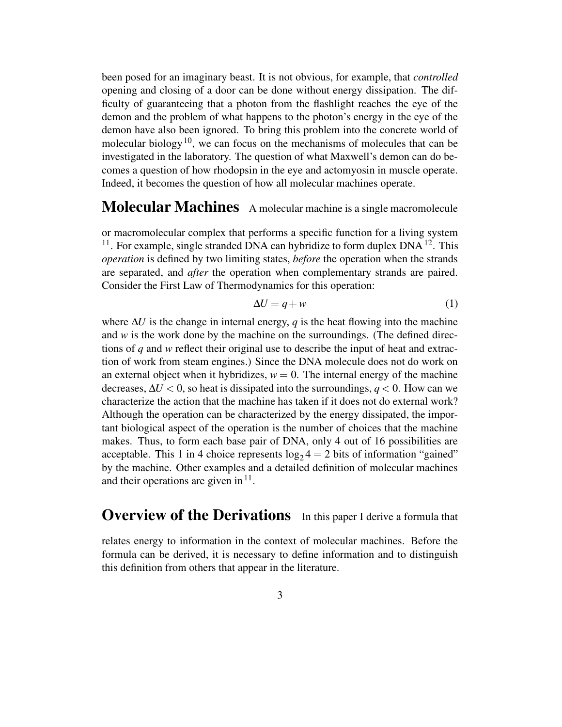been posed for an imaginary beast. It is not obvious, for example, that *controlled* opening and closing of a door can be done without energy dissipation. The difficulty of guaranteeing that a photon from the flashlight reaches the eye of the demon and the problem of what happens to the photon's energy in the eye of the demon have also been ignored. To bring this problem into the concrete world of molecular biology<sup>10</sup>, we can focus on the mechanisms of molecules that can be investigated in the laboratory. The question of what Maxwell's demon can do becomes a question of how rhodopsin in the eye and actomyosin in muscle operate. Indeed, it becomes the question of how all molecular machines operate.

# **Molecular Machines** <sup>A</sup> molecular machine is <sup>a</sup> single macromolecule

or macromolecular complex that performs a specific function for a living system  $11$ . For example, single stranded DNA can hybridize to form duplex DNA  $12$ . This *operation* is defined by two limiting states, *before* the operation when the strands are separated, and *after* the operation when complementary strands are paired. Consider the First Law of Thermodynamics for this operation:

$$
\Delta U = q + w \tag{1}
$$

where ∆*U* is the change in internal energy, *q* is the heat flowing into the machine and  $w$  is the work done by the machine on the surroundings. (The defined directions of *q* and *w* reflect their original use to describe the input of heat and extraction of work from steam engines.) Since the DNA molecule does not do work on an external object when it hybridizes,  $w = 0$ . The internal energy of the machine decreases,  $\Delta U < 0$ , so heat is dissipated into the surroundings,  $q < 0$ . How can we characterize the action that the machine has taken if it does not do external work? Although the operation can be characterized by the energy dissipated, the important biological aspect of the operation is the number of choices that the machine makes. Thus, to form each base pair of DNA, only 4 out of 16 possibilities are acceptable. This 1 in 4 choice represents  $log_2 4 = 2$  bits of information "gained" by the machine. Other examples and a detailed definition of molecular machines and their operations are given in  $11$ .

#### **Overview of the Derivations** In this paper I derive a formula that

relates energy to information in the context of molecular machines. Before the formula can be derived, it is necessary to define information and to distinguish this definition from others that appear in the literature.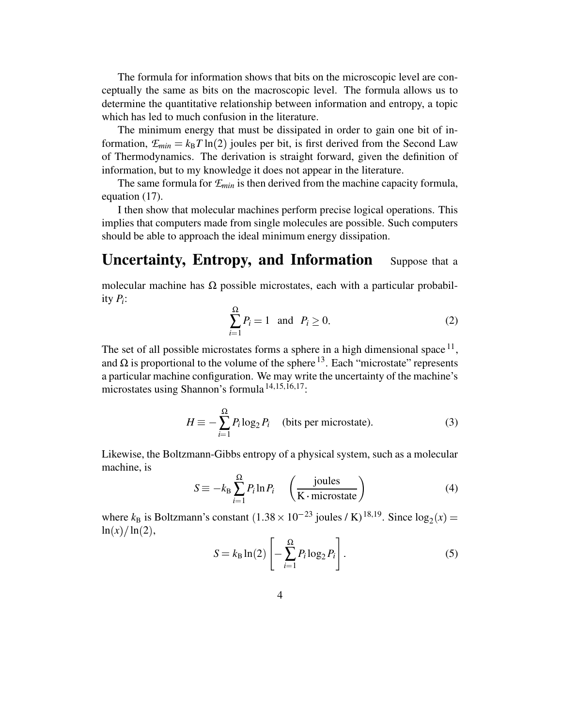The formula for information shows that bits on the microscopic level are conceptually the same as bits on the macroscopic level. The formula allows us to determine the quantitative relationship between information and entropy, a topic which has led to much confusion in the literature.

The minimum energy that must be dissipated in order to gain one bit of information,  $E_{min} = k_B T \ln(2)$  joules per bit, is first derived from the Second Law of Thermodynamics. The derivation is straight forward, given the definition of information, but to my knowledge it does not appear in the literature.

The same formula for *Emin* is then derived from the machine capacity formula, equation (17).

I then show that molecular machines perform precise logical operations. This implies that computers made from single molecules are possible. Such computers should be able to approach the ideal minimum energy dissipation.

# **Uncertainty, Entropy, and Information** Suppose that <sup>a</sup>

molecular machine has  $\Omega$  possible microstates, each with a particular probability *P<sup>i</sup>* :

$$
\sum_{i=1}^{\Omega} P_i = 1 \quad \text{and} \quad P_i \ge 0. \tag{2}
$$

The set of all possible microstates forms a sphere in a high dimensional space  $^{11}$ , and  $\Omega$  is proportional to the volume of the sphere  $^{13}$ . Each "microstate" represents a particular machine configuration. We may write the uncertainty of the machine's microstates using Shannon's formula <sup>14,15,16,17</sup>:

$$
H \equiv -\sum_{i=1}^{\Omega} P_i \log_2 P_i \quad \text{(bits per microstate)}.
$$
 (3)

Likewise, the Boltzmann-Gibbs entropy of a physical system, such as a molecular machine, is

$$
S \equiv -k_{\rm B} \sum_{i=1}^{\Omega} P_i \ln P_i \quad \left(\frac{\text{joules}}{\text{K}\cdot\text{microstate}}\right) \tag{4}
$$

where  $k_B$  is Boltzmann's constant  $(1.38 \times 10^{-23} \text{ joules } / \text{ K})^{18,19}$ . Since  $\log_2(x)$  =  $\ln(x)/\ln(2)$ ,

$$
S = k_{\rm B} \ln(2) \left[ -\sum_{i=1}^{\Omega} P_i \log_2 P_i \right].
$$
 (5)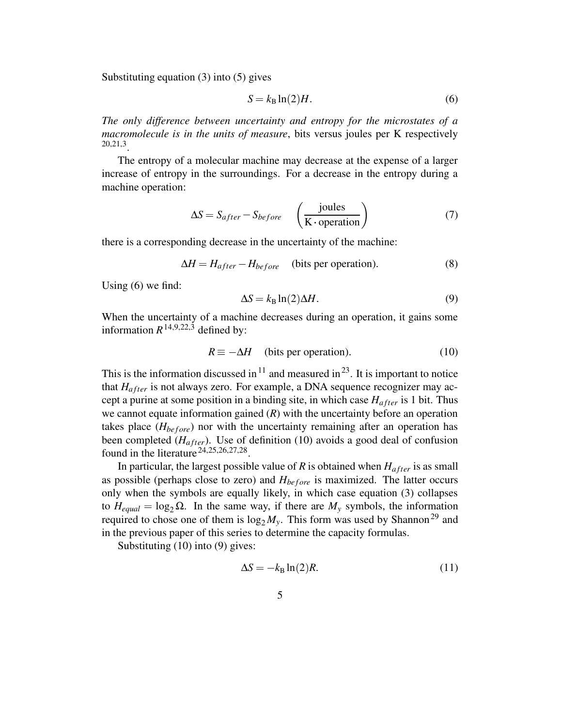Substituting equation (3) into (5) gives

$$
S = k_{\rm B} \ln(2) H. \tag{6}
$$

*The only difference between uncertainty and entropy for the microstates of a macromolecule is in the units of measure*, bits versus joules per K respectively 20,21,3 .

The entropy of a molecular machine may decrease at the expense of a larger increase of entropy in the surroundings. For a decrease in the entropy during a machine operation:

$$
\Delta S = S_{after} - S_{before} \left(\frac{\text{joules}}{\text{K operation}}\right) \tag{7}
$$

there is a corresponding decrease in the uncertainty of the machine:

$$
\Delta H = H_{after} - H_{before} \quad \text{(bits per operation)}.
$$
 (8)

Using (6) we find:

$$
\Delta S = k_{\rm B} \ln(2) \Delta H. \tag{9}
$$

When the uncertainty of a machine decreases during an operation, it gains some information  $R^{14,9,22,3}$  defined by:

$$
R \equiv -\Delta H
$$
 (bits per operation). (10)

This is the information discussed in  $11$  and measured in  $23$ . It is important to notice that  $H_{after}$  is not always zero. For example, a DNA sequence recognizer may accept a purine at some position in a binding site, in which case  $H_{after}$  is 1 bit. Thus we cannot equate information gained (*R*) with the uncertainty before an operation takes place  $(H_{before})$  nor with the uncertainty remaining after an operation has been completed  $(H_{after})$ . Use of definition (10) avoids a good deal of confusion found in the literature  $24,25,26,27,28$ .

In particular, the largest possible value of  $R$  is obtained when  $H_{after}$  is as small as possible (perhaps close to zero) and  $H_{before}$  is maximized. The latter occurs only when the symbols are equally likely, in which case equation (3) collapses to  $H_{equal} = \log_2 \Omega$ . In the same way, if there are  $M_y$  symbols, the information required to chose one of them is  $\log_2 M_y$ . This form was used by Shannon<sup>29</sup> and in the previous paper of this series to determine the capacity formulas.

Substituting (10) into (9) gives:

$$
\Delta S = -k_{\rm B} \ln(2) R. \tag{11}
$$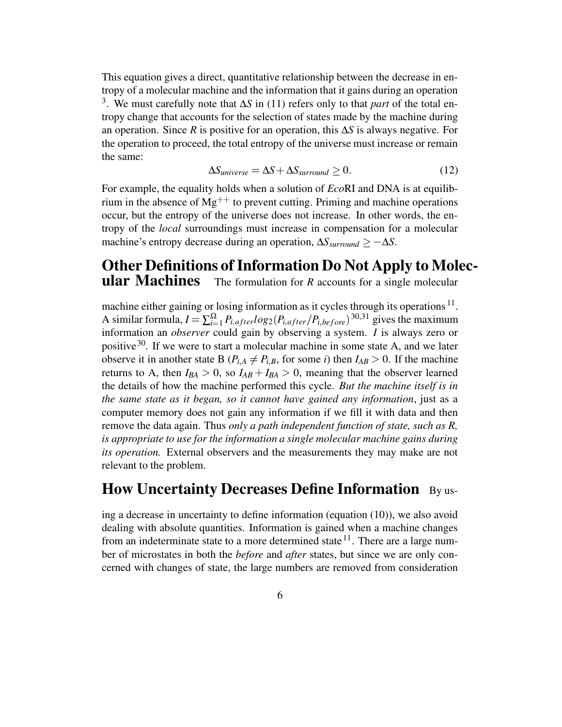This equation gives a direct, quantitative relationship between the decrease in entropy of a molecular machine and the information that it gains during an operation 3 . We must carefully note that ∆*S* in (11) refers only to that *part* of the total entropy change that accounts for the selection of states made by the machine during an operation. Since *R* is positive for an operation, this ∆*S* is always negative. For the operation to proceed, the total entropy of the universe must increase or remain the same:

$$
\Delta S_{universe} = \Delta S + \Delta S_{surround} \ge 0. \tag{12}
$$

For example, the equality holds when a solution of *Eco*RI and DNA is at equilibrium in the absence of  $Mg^{++}$  to prevent cutting. Priming and machine operations occur, but the entropy of the universe does not increase. In other words, the entropy of the *local* surroundings must increase in compensation for a molecular machine's entropy decrease during an operation,  $\Delta S_{\text{surround}} \geq -\Delta S$ .

# **Other Definitions of Information Do Not Apply to Molecular Machines** The formulation for *R* accounts for a single molecular

machine either gaining or losing information as it cycles through its operations  $^{11}$ . A similar formula,  $I = \sum_{i=1}^{\Omega} P_{i,after} log_2(P_{i,after}/P_{i,before})^{30,31}$  gives the maximum information an *observer* could gain by observing a system. *I* is always zero or positive<sup>30</sup>. If we were to start a molecular machine in some state A, and we later observe it in another state B ( $P_{i,A} \neq P_{i,B}$ , for some *i*) then  $I_{AB} > 0$ . If the machine returns to A, then  $I_{BA} > 0$ , so  $I_{AB} + I_{BA} > 0$ , meaning that the observer learned the details of how the machine performed this cycle. *But the machine itself is in the same state as it began, so it cannot have gained any information*, just as a computer memory does not gain any information if we fill it with data and then remove the data again. Thus *only a path independent function of state, such as R, is appropriate to use for the information a single molecular machine gains during its operation.* External observers and the measurements they may make are not relevant to the problem.

#### **How Uncertainty Decreases Define Information** By us-

ing a decrease in uncertainty to define information (equation (10)), we also avoid dealing with absolute quantities. Information is gained when a machine changes from an indeterminate state to a more determined state  $11$ . There are a large number of microstates in both the *before* and *after* states, but since we are only concerned with changes of state, the large numbers are removed from consideration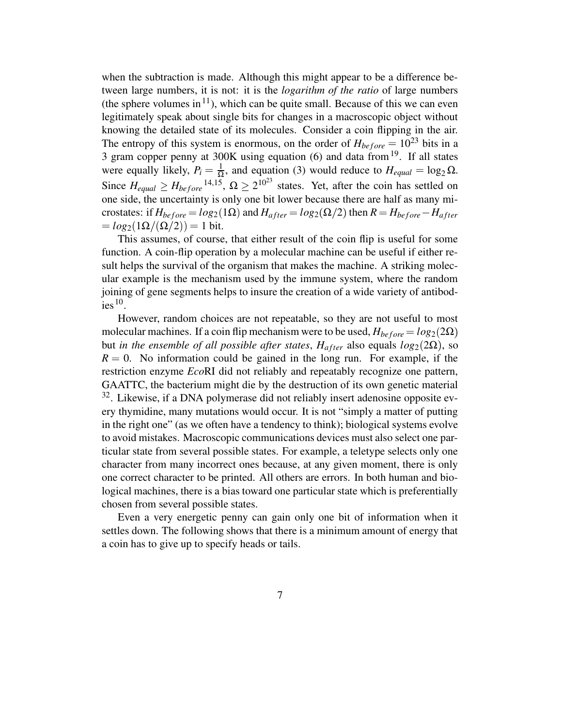when the subtraction is made. Although this might appear to be a difference between large numbers, it is not: it is the *logarithm of the ratio* of large numbers (the sphere volumes in<sup>11</sup>), which can be quite small. Because of this we can even legitimately speak about single bits for changes in a macroscopic object without knowing the detailed state of its molecules. Consider a coin flipping in the air. The entropy of this system is enormous, on the order of  $H_{before} = 10^{23}$  bits in a 3 gram copper penny at  $300K$  using equation (6) and data from  $19$ . If all states were equally likely,  $P_i = \frac{1}{\Omega}$ , and equation (3) would  $\frac{1}{\Omega}$ , and equation (3) would reduce to  $H_{equal} = \log_2 \Omega$ . Since  $H_{equal} \geq H_{before}^{14,15}$ ,  $\Omega \geq 2^{10^{23}}$  states. Yet, after the coin has settled on one side, the uncertainty is only one bit lower because there are half as many microstates: if  $H_{before} = log_2(1\Omega)$  and  $H_{after} = log_2(\Omega/2)$  then  $R = H_{before} - H_{after}$  $= log_2(1\Omega/(\Omega/2)) = 1$  bit.

This assumes, of course, that either result of the coin flip is useful for some function. A coin-flip operation by a molecular machine can be useful if either result helps the survival of the organism that makes the machine. A striking molecular example is the mechanism used by the immune system, where the random joining of gene segments helps to insure the creation of a wide variety of antibod $i$ es<sup>10</sup>.

However, random choices are not repeatable, so they are not useful to most molecular machines. If a coin flip mechanism were to be used,  $H_{before} = log_2(2\Omega)$ but *in the ensemble of all possible after states*,  $H_{after}$  also equals  $log_2(2\Omega)$ , so  $R = 0$ . No information could be gained in the long run. For example, if the restriction enzyme *Eco*RI did not reliably and repeatably recognize one pattern, GAATTC, the bacterium might die by the destruction of its own genetic material  $32$ . Likewise, if a DNA polymerase did not reliably insert adenosine opposite every thymidine, many mutations would occur. It is not "simply a matter of putting in the right one" (as we often have a tendency to think); biological systems evolve to avoid mistakes. Macroscopic communications devices must also select one particular state from several possible states. For example, a teletype selects only one character from many incorrect ones because, at any given moment, there is only one correct character to be printed. All others are errors. In both human and biological machines, there is a bias toward one particular state which is preferentially chosen from several possible states.

Even a very energetic penny can gain only one bit of information when it settles down. The following shows that there is a minimum amount of energy that a coin has to give up to specify heads or tails.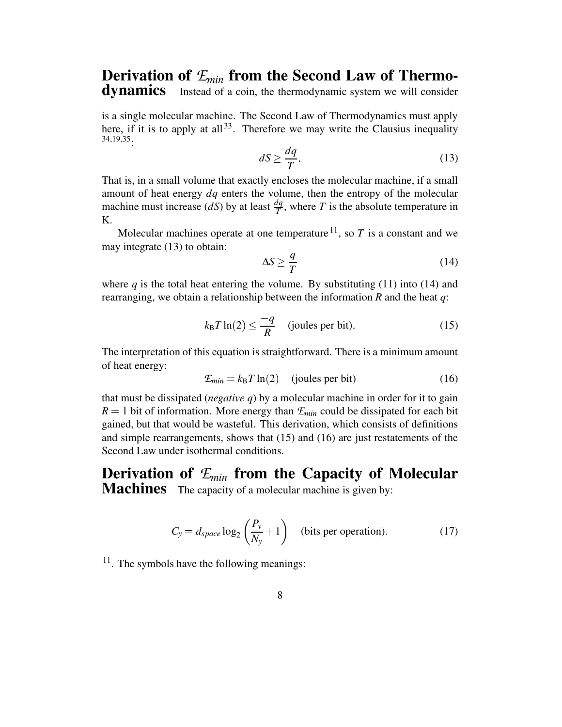## **Derivation of**  $\mathcal{L}_{min}$  **from the Second Law of Thermo-**<br>**dynamics** Instead of a coin, the thermodynamic system we will consider Instead of a coin, the thermodynamic system we will consider

is a single molecular machine. The Second Law of Thermodynamics must apply here, if it is to apply at all<sup>33</sup>. Therefore we may write the Clausius inequality 34,19,35:

$$
dS \ge \frac{dq}{T}.\tag{13}
$$

That is, in a small volume that exactly encloses the molecular machine, if a small amount of heat energy *dq* enters the volume, then the entropy of the molecular machine must increase  $(dS)$  by at least  $\frac{dq}{T}$ , where *T* is the absolute temperature in K.

Molecular machines operate at one temperature  $^{11}$ , so T is a constant and we may integrate (13) to obtain:

$$
\Delta S \ge \frac{q}{T} \tag{14}
$$

where  $q$  is the total heat entering the volume. By substituting  $(11)$  into  $(14)$  and rearranging, we obtain a relationship between the information *R* and the heat *q*:

$$
k_{\rm B}T\ln(2) \le \frac{-q}{R} \quad \text{(joules per bit)}.\tag{15}
$$

The interpretation of this equation is straightforward. There is a minimum amount of heat energy:

$$
\mathcal{E}_{min} = k_B T \ln(2) \quad \text{(joules per bit)} \tag{16}
$$

that must be dissipated (*negative q*) by a molecular machine in order for it to gain  $R = 1$  bit of information. More energy than  $E_{min}$  could be dissipated for each bit gained, but that would be wasteful. This derivation, which consists of definitions and simple rearrangements, shows that (15) and (16) are just restatements of the Second Law under isothermal conditions.

**Derivation of** *Emin* **from the Capacity of Molecular Machines** The capacity of a molecular machine is given by:

$$
C_y = d_{space} \log_2 \left(\frac{P_y}{N_y} + 1\right)
$$
 (bits per operation). (17)

<sup>11</sup>. The symbols have the following meanings: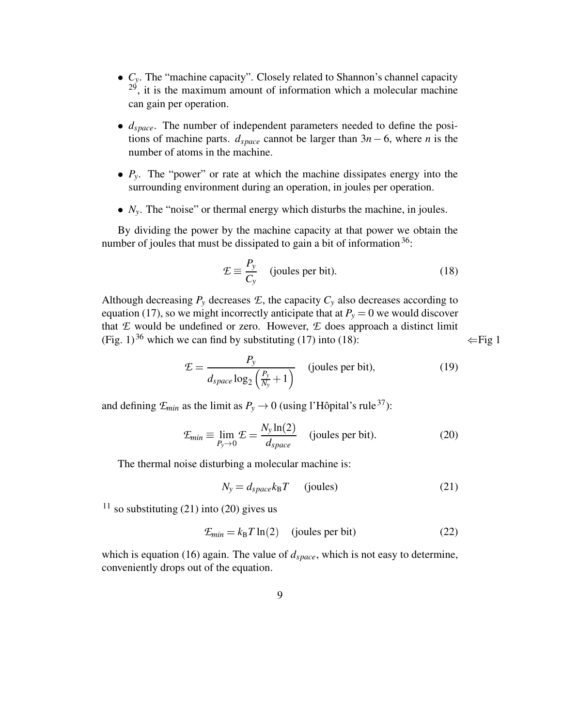- $\bullet$   $C_y$ . The "machine capacity". Closely related to Shannon's channel capacity  $2<sup>9</sup>$ , it is the maximum amount of information which a molecular machine can gain per operation.
- $d_{space}$ . The number of independent parameters needed to define the positions of machine parts.  $d_{space}$  cannot be larger than  $3n - 6$ , where *n* is the number of atoms in the machine.
- $\bullet$   $P_y$ . The "power" or rate at which the machine dissipates energy into the surrounding environment during an operation, in joules per operation.
- $\bullet$   $N_y$ . The "noise" or thermal energy which disturbs the machine, in joules.

By dividing the power by the machine capacity at that power we obtain the number of joules that must be dissipated to gain a bit of information  $36$ :

$$
\mathcal{L} \equiv \frac{P_y}{C_y} \quad \text{(joules per bit)}.\tag{18}
$$

Although decreasing  $P_y$  decreases  $E$ , the capacity  $C_y$  also decreases according to equation (17), so we might incorrectly anticipate that at  $P_y = 0$  we would discover that *E* would be undefined or zero. However, *E* does approach a distinct limit (Fig. 1)<sup>36</sup> which we can find by substituting (17) into (18):  $\leftarrow$  Fig 1

$$
\mathcal{E} = \frac{P_{y}}{d_{space} \log_2\left(\frac{P_{y}}{N_y} + 1\right)} \quad \text{(joules per bit)}, \tag{19}
$$

and defining  $\mathcal{F}_{min}$  as the limit as  $P_y \rightarrow 0$  (using l'Hôpital's rule<sup>37</sup>):

$$
\mathcal{E}_{min} \equiv \lim_{P_y \to 0} \mathcal{E} = \frac{N_y \ln(2)}{d_{space}} \quad \text{(joules per bit)}.
$$
\n(20)

The thermal noise disturbing a molecular machine is:

$$
N_{y} = d_{space} k_{\text{B}} T \qquad \text{(joules)} \tag{21}
$$

<sup>11</sup> so substituting (21) into (20) gives us

$$
\mathcal{E}_{min} = k_B T \ln(2) \quad \text{(joules per bit)} \tag{22}
$$

which is equation (16) again. The value of  $d_{space}$ , which is not easy to determine, conveniently drops out of the equation.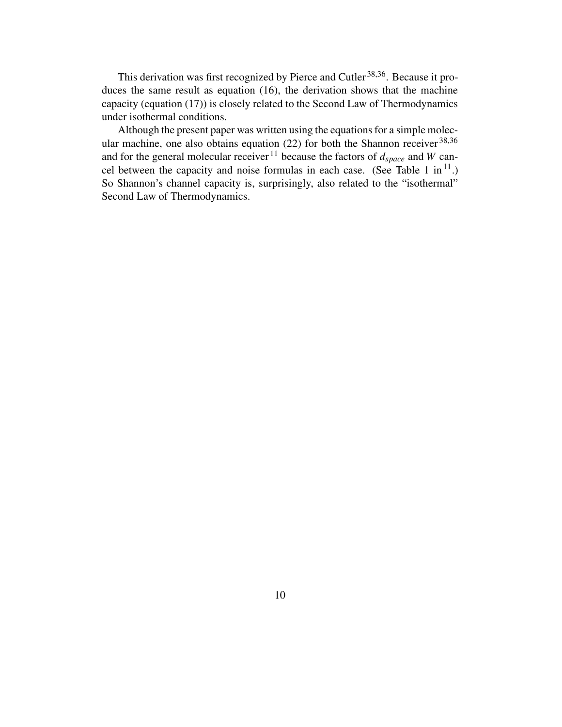This derivation was first recognized by Pierce and Cutler<sup>38,36</sup>. Because it produces the same result as equation (16), the derivation shows that the machine capacity (equation (17)) is closely related to the Second Law of Thermodynamics under isothermal conditions.

Although the present paper was written using the equations for a simple molecular machine, one also obtains equation (22) for both the Shannon receiver  $38,36$ and for the general molecular receiver  $11$  because the factors of  $d_{space}$  and *W* cancel between the capacity and noise formulas in each case. (See Table 1 in<sup>11</sup>.) So Shannon's channel capacity is, surprisingly, also related to the "isothermal" Second Law of Thermodynamics.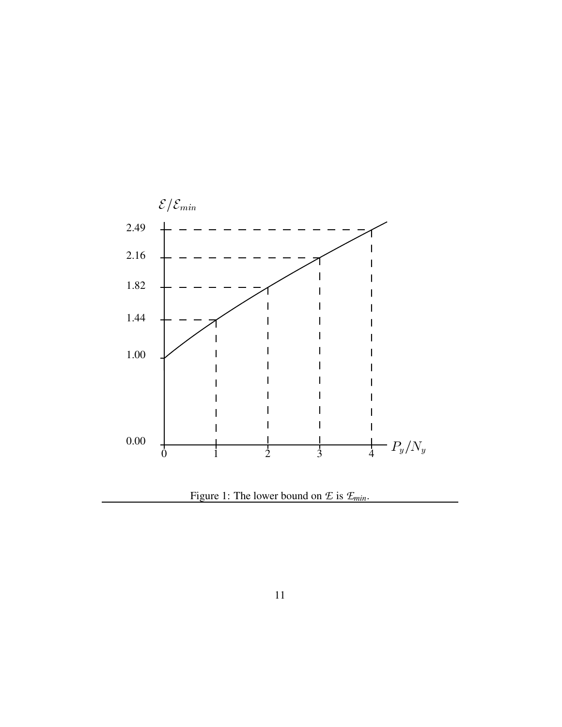

Figure 1: The lower bound on *E* is *Emin*.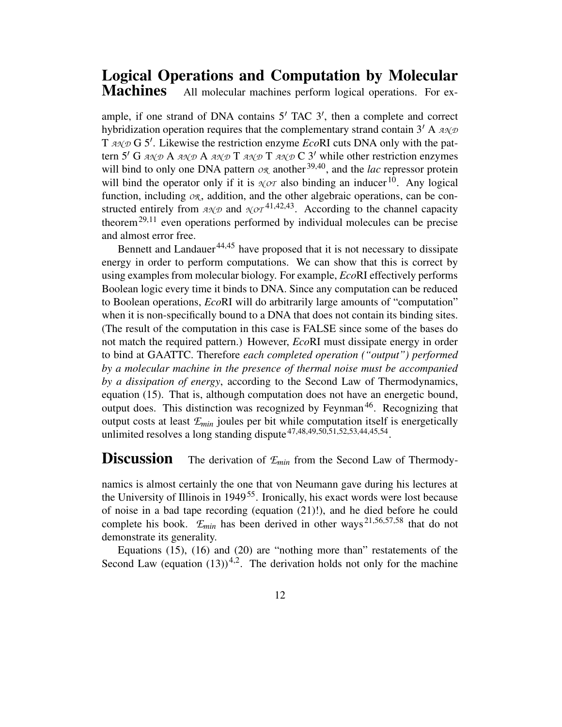#### **Logical Operations and Computation by Molecular** All molecular machines perform logical operations. For ex-

ample, if one strand of DNA contains  $5'$  TAC  $3'$ , then a complete and correct hybridization operation requires that the complementary strand contain  $3'$  A  $A \mathcal{A} \mathcal{D}$ T  $A \sim \mathcal{D}$  G 5'. Likewise the restriction enzyme *Eco*RI cuts DNA only with the pattern 5' G  $A \mathcal{A} \mathcal{A} \mathcal{A} \mathcal{A} \mathcal{A} \mathcal{A} \mathcal{A} \mathcal{A} \mathcal{A} \mathcal{A} \mathcal{A} \mathcal{A} \mathcal{A} \mathcal{A} \mathcal{A} \mathcal{A} \mathcal{A} \mathcal{A} \mathcal{A} \mathcal{A} \mathcal{A} \mathcal{A} \mathcal{A} \mathcal{A} \mathcal{A} \mathcal{A} \mathcal{A} \mathcal{A} \mathcal{A} \mathcal{A} \mathcal{A} \mathcal{A} \mathcal{A} \mathcal{A} \mathcal{A$ will bind to only one DNA pattern  $\mathcal{O}_{\mathcal{R}}$  another  $^{39,40}$ , and the *lac* repressor protein will bind the operator only if it is  $\chi$ o $\tau$  also binding an inducer<sup>10</sup>. Any logical function, including  $OR$ , addition, and the other algebraic operations, can be constructed entirely from  $A \mathcal{N}$  and  $\mathcal{N}$  *OT*<sup>41,42,43</sup>. According to the channel capacity theorem<sup>29,11</sup> even operations performed by individual molecules can be precise and almost error free.

Bennett and Landauer<sup>44,45</sup> have proposed that it is not necessary to dissipate energy in order to perform computations. We can show that this is correct by using examples from molecular biology. For example, *Eco*RI effectively performs Boolean logic every time it binds to DNA. Since any computation can be reduced to Boolean operations, *Eco*RI will do arbitrarily large amounts of "computation" when it is non-specifically bound to a DNA that does not contain its binding sites. (The result of the computation in this case is FALSE since some of the bases do not match the required pattern.) However, *Eco*RI must dissipate energy in order to bind at GAATTC. Therefore *each completed operation ("output") performed by a molecular machine in the presence of thermal noise must be accompanied by a dissipation of energy*, according to the Second Law of Thermodynamics, equation (15). That is, although computation does not have an energetic bound, output does. This distinction was recognized by Feynman<sup>46</sup>. Recognizing that output costs at least *Emin* joules per bit while computation itself is energetically unlimited resolves a long standing dispute  $47,48,49,50,51,52,53,44,45,54$ .

#### **Discussion** The derivation of  $\mathcal{E}_{min}$  from the Second Law of Thermody-

namics is almost certainly the one that von Neumann gave during his lectures at the University of Illinois in 1949<sup>55</sup>. Ironically, his exact words were lost because of noise in a bad tape recording (equation (21)!), and he died before he could complete his book. *Emin* has been derived in other ways 21,56,57,58 that do not demonstrate its generality.

Equations (15), (16) and (20) are "nothing more than" restatements of the Second Law (equation  $(13)$ )<sup>4,2</sup>. The derivation holds not only for the machine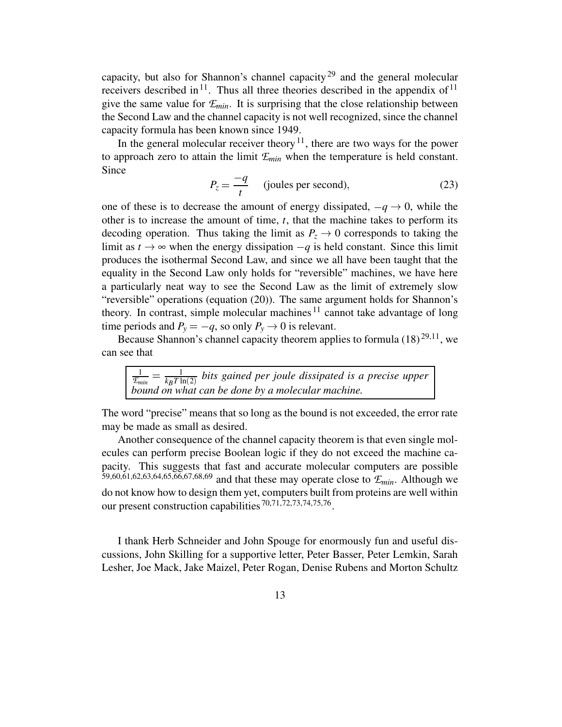capacity, but also for Shannon's channel capacity<sup>29</sup> and the general molecular receivers described in  $11$ . Thus all three theories described in the appendix of  $11$ give the same value for  $E_{min}$ . It is surprising that the close relationship between the Second Law and the channel capacity is not well recognized, since the channel capacity formula has been known since 1949.

In the general molecular receiver theory  $11$ , there are two ways for the power to approach zero to attain the limit  $E_{min}$  when the temperature is held constant. Since

$$
P_z = \frac{-q}{t}
$$
 (joules per second), (23)

one of these is to decrease the amount of energy dissipated,  $-q \rightarrow 0$ , while the c other is to increase the amount of time, *t*, that the machine takes to perform its decoding operation. Thus taking the limit as  $P_z \rightarrow 0$  corresponds to taking the limit as  $t \to \infty$  when the energy dissipation  $-q$  is held constant. Since this limit produces the isothermal Second Law, and since we all have been taught that the equality in the Second Law only holds for "reversible" machines, we have here a particularly neat way to see the Second Law as the limit of extremely slow "reversible" operations (equation (20)). The same argument holds for Shannon's theory. In contrast, simple molecular machines  $11$  cannot take advantage of long time periods and  $P_y = -q$ , so only  $P_y \rightarrow 0$  is relevant.

Because Shannon's channel capacity theorem applies to formula  $(18)^{29,11}$ , we can see that

 $\frac{1}{\mathcal{F}_{min}} = \frac{1}{k_B T \ln(2)}$  bits gained per jou  $\frac{1}{k_B T \ln(2)}$  bits gained per *joule* dissipated is a precise upper *bound on what can be done by a molecular machine.*

The word "precise" means that so long as the bound is not exceeded, the error rate may be made as small as desired.

Another consequence of the channel capacity theorem is that even single molecules can perform precise Boolean logic if they do not exceed the machine capacity. This suggests that fast and accurate molecular computers are possible 59,60,61,62,63,64,65,66,67,68,69 and that these may operate close to  $\mathcal{E}_{min}$ . Although we do not know how to design them yet, computers built from proteins are well within our present construction capabilities<sup>70,71,72,73,74,75,76</sup>.

I thank Herb Schneider and John Spouge for enormously fun and useful discussions, John Skilling for a supportive letter, Peter Basser, Peter Lemkin, Sarah Lesher, Joe Mack, Jake Maizel, Peter Rogan, Denise Rubens and Morton Schultz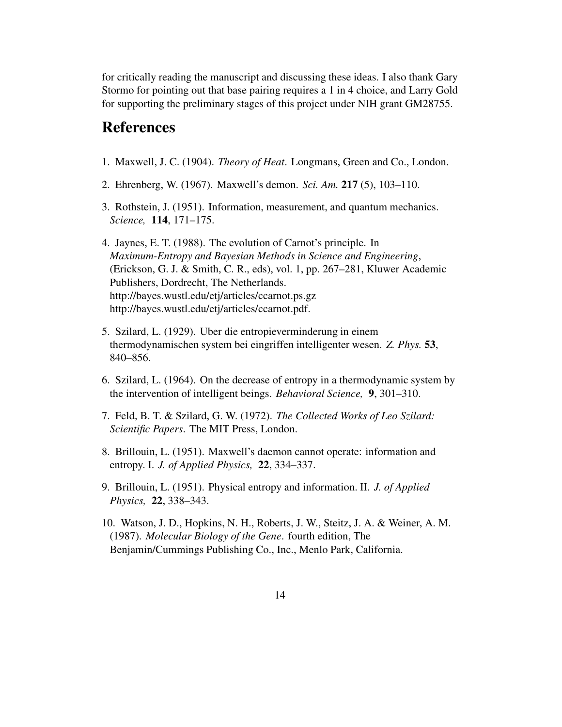for critically reading the manuscript and discussing these ideas. I also thank Gary Stormo for pointing out that base pairing requires a 1 in 4 choice, and Larry Gold for supporting the preliminary stages of this project under NIH grant GM28755.

# **References**

- 1. Maxwell, J. C. (1904). *Theory of Heat*. Longmans, Green and Co., London.
- 2. Ehrenberg, W. (1967). Maxwell's demon. *Sci. Am.* **217** (5), 103–110.
- 3. Rothstein, J. (1951). Information, measurement, and quantum mechanics. *Science,* **114**, 171–175.
- 4. Jaynes, E. T. (1988). The evolution of Carnot's principle. In *Maximum-Entropy and Bayesian Methods in Science and Engineering*, (Erickson, G. J. & Smith, C. R., eds), vol. 1, pp. 267–281, Kluwer Academic Publishers, Dordrecht, The Netherlands. http://bayes.wustl.edu/etj/articles/ccarnot.ps.gz http://bayes.wustl.edu/etj/articles/ccarnot.pdf.
- 5. Szilard, L. (1929). Uber die entropieverminderung in einem thermodynamischen system bei eingriffen intelligenter wesen. *Z. Phys.* **53**, 840–856.
- 6. Szilard, L. (1964). On the decrease of entropy in a thermodynamic system by the intervention of intelligent beings. *Behavioral Science,* **9**, 301–310.
- 7. Feld, B. T. & Szilard, G. W. (1972). *The Collected Works of Leo Szilard: Scientific Papers*. The MIT Press, London.
- 8. Brillouin, L. (1951). Maxwell's daemon cannot operate: information and entropy. I. *J. of Applied Physics,* **22**, 334–337.
- 9. Brillouin, L. (1951). Physical entropy and information. II. *J. of Applied Physics,* **22**, 338–343.
- 10. Watson, J. D., Hopkins, N. H., Roberts, J. W., Steitz, J. A. & Weiner, A. M. (1987). *Molecular Biology of the Gene*. fourth edition, The Benjamin/Cummings Publishing Co., Inc., Menlo Park, California.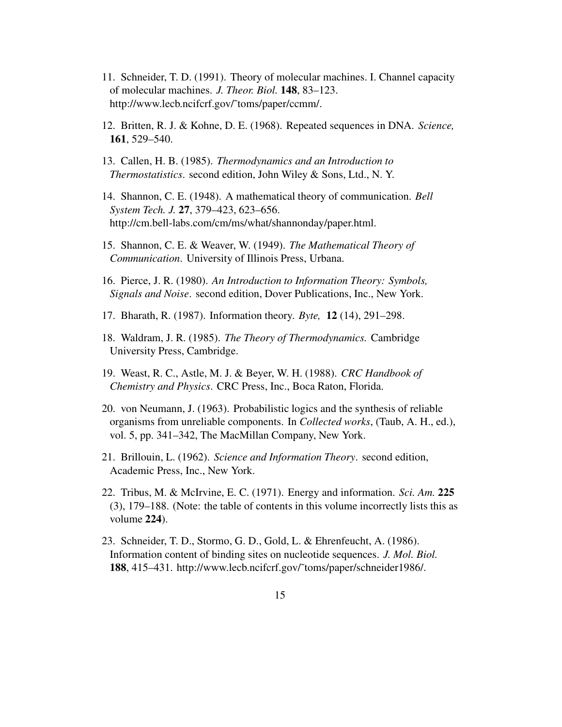- 11. Schneider, T. D. (1991). Theory of molecular machines. I. Channel capacity of molecular machines. *J. Theor. Biol.* **148**, 83–123. http://www.lecb.ncifcrf.gov/˜toms/paper/ccmm/.
- 12. Britten, R. J. & Kohne, D. E. (1968). Repeated sequences in DNA. *Science,* **161**, 529–540.
- 13. Callen, H. B. (1985). *Thermodynamics and an Introduction to Thermostatistics*. second edition, John Wiley & Sons, Ltd., N. Y.
- 14. Shannon, C. E. (1948). A mathematical theory of communication. *Bell System Tech. J.* **27**, 379–423, 623–656. http://cm.bell-labs.com/cm/ms/what/shannonday/paper.html.
- 15. Shannon, C. E. & Weaver, W. (1949). *The Mathematical Theory of Communication*. University of Illinois Press, Urbana.
- 16. Pierce, J. R. (1980). *An Introduction to Information Theory: Symbols, Signals and Noise*. second edition, Dover Publications, Inc., New York.
- 17. Bharath, R. (1987). Information theory. *Byte,* **12** (14), 291–298.
- 18. Waldram, J. R. (1985). *The Theory of Thermodynamics.* Cambridge University Press, Cambridge.
- 19. Weast, R. C., Astle, M. J. & Beyer, W. H. (1988). *CRC Handbook of Chemistry and Physics*. CRC Press, Inc., Boca Raton, Florida.
- 20. von Neumann, J. (1963). Probabilistic logics and the synthesis of reliable organisms from unreliable components. In *Collected works*, (Taub, A. H., ed.), vol. 5, pp. 341–342, The MacMillan Company, New York.
- 21. Brillouin, L. (1962). *Science and Information Theory*. second edition, Academic Press, Inc., New York.
- 22. Tribus, M. & McIrvine, E. C. (1971). Energy and information. *Sci. Am.* **225** (3), 179–188. (Note: the table of contents in this volume incorrectly lists this as volume **224**).
- 23. Schneider, T. D., Stormo, G. D., Gold, L. & Ehrenfeucht, A. (1986). Information content of binding sites on nucleotide sequences. *J. Mol. Biol.* **188**, 415–431. http://www.lecb.ncifcrf.gov/˜toms/paper/schneider1986/.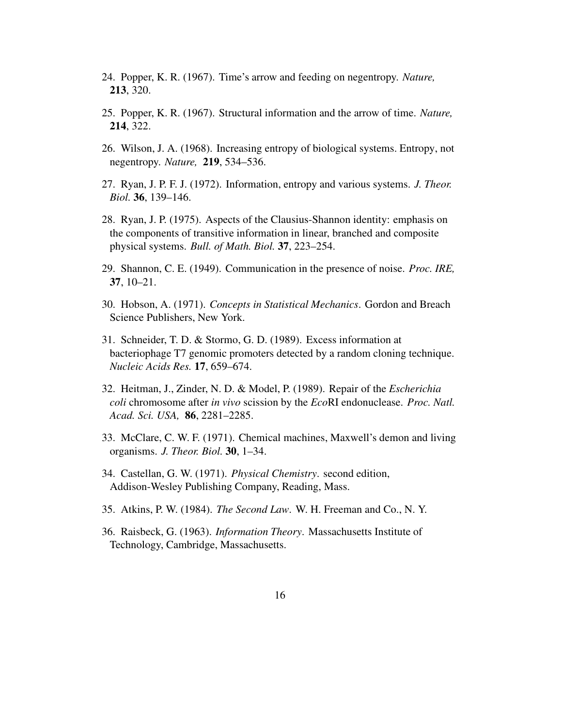- 24. Popper, K. R. (1967). Time's arrow and feeding on negentropy. *Nature,* **213**, 320.
- 25. Popper, K. R. (1967). Structural information and the arrow of time. *Nature,* **214**, 322.
- 26. Wilson, J. A. (1968). Increasing entropy of biological systems. Entropy, not negentropy. *Nature,* **219**, 534–536.
- 27. Ryan, J. P. F. J. (1972). Information, entropy and various systems. *J. Theor. Biol.* **36**, 139–146.
- 28. Ryan, J. P. (1975). Aspects of the Clausius-Shannon identity: emphasis on the components of transitive information in linear, branched and composite physical systems. *Bull. of Math. Biol.* **37**, 223–254.
- 29. Shannon, C. E. (1949). Communication in the presence of noise. *Proc. IRE,* **37**, 10–21.
- 30. Hobson, A. (1971). *Concepts in Statistical Mechanics*. Gordon and Breach Science Publishers, New York.
- 31. Schneider, T. D. & Stormo, G. D. (1989). Excess information at bacteriophage T7 genomic promoters detected by a random cloning technique. *Nucleic Acids Res.* **17**, 659–674.
- 32. Heitman, J., Zinder, N. D. & Model, P. (1989). Repair of the *Escherichia coli* chromosome after *in vivo* scission by the *Eco*RI endonuclease. *Proc. Natl. Acad. Sci. USA,* **86**, 2281–2285.
- 33. McClare, C. W. F. (1971). Chemical machines, Maxwell's demon and living organisms. *J. Theor. Biol.* **30**, 1–34.
- 34. Castellan, G. W. (1971). *Physical Chemistry*. second edition, Addison-Wesley Publishing Company, Reading, Mass.
- 35. Atkins, P. W. (1984). *The Second Law*. W. H. Freeman and Co., N. Y.
- 36. Raisbeck, G. (1963). *Information Theory*. Massachusetts Institute of Technology, Cambridge, Massachusetts.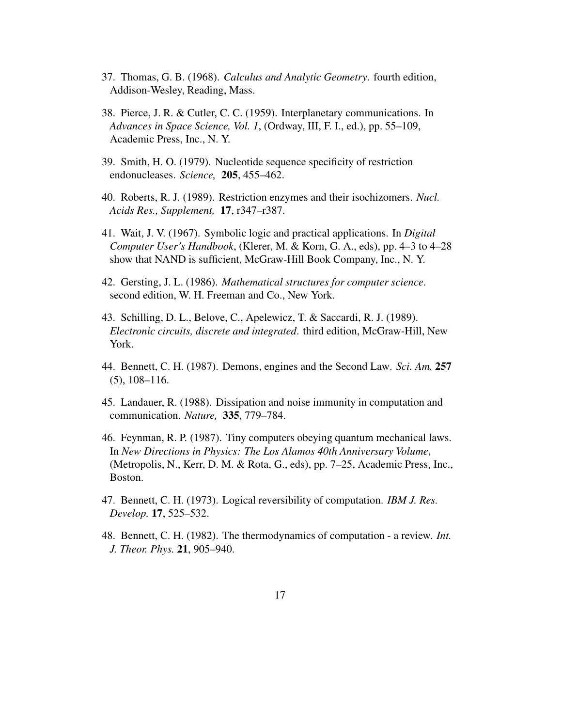- 37. Thomas, G. B. (1968). *Calculus and Analytic Geometry*. fourth edition, Addison-Wesley, Reading, Mass.
- 38. Pierce, J. R. & Cutler, C. C. (1959). Interplanetary communications. In *Advances in Space Science, Vol. 1*, (Ordway, III, F. I., ed.), pp. 55–109, Academic Press, Inc., N. Y.
- 39. Smith, H. O. (1979). Nucleotide sequence specificity of restriction endonucleases. *Science,* **205**, 455–462.
- 40. Roberts, R. J. (1989). Restriction enzymes and their isochizomers. *Nucl. Acids Res., Supplement,* **17**, r347–r387.
- 41. Wait, J. V. (1967). Symbolic logic and practical applications. In *Digital Computer User's Handbook*, (Klerer, M. & Korn, G. A., eds), pp. 4–3 to 4–28 show that NAND is sufficient, McGraw-Hill Book Company, Inc., N. Y.
- 42. Gersting, J. L. (1986). *Mathematical structures for computer science*. second edition, W. H. Freeman and Co., New York.
- 43. Schilling, D. L., Belove, C., Apelewicz, T. & Saccardi, R. J. (1989). *Electronic circuits, discrete and integrated*. third edition, McGraw-Hill, New York.
- 44. Bennett, C. H. (1987). Demons, engines and the Second Law. *Sci. Am.* **257** (5), 108–116.
- 45. Landauer, R. (1988). Dissipation and noise immunity in computation and communication. *Nature,* **335**, 779–784.
- 46. Feynman, R. P. (1987). Tiny computers obeying quantum mechanical laws. In *New Directions in Physics: The Los Alamos 40th Anniversary Volume*, (Metropolis, N., Kerr, D. M. & Rota, G., eds), pp. 7–25, Academic Press, Inc., Boston.
- 47. Bennett, C. H. (1973). Logical reversibility of computation. *IBM J. Res. Develop.* **17**, 525–532.
- 48. Bennett, C. H. (1982). The thermodynamics of computation a review. *Int. J. Theor. Phys.* **21**, 905–940.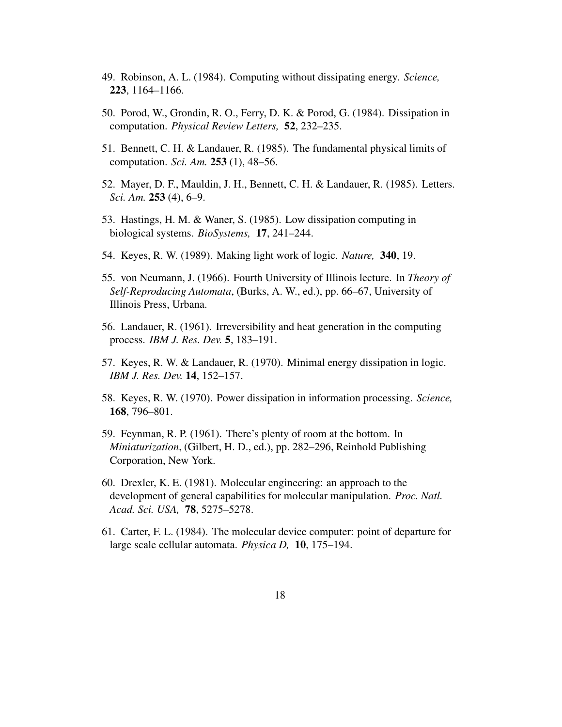- 49. Robinson, A. L. (1984). Computing without dissipating energy. *Science,* **223**, 1164–1166.
- 50. Porod, W., Grondin, R. O., Ferry, D. K. & Porod, G. (1984). Dissipation in computation. *Physical Review Letters,* **52**, 232–235.
- 51. Bennett, C. H. & Landauer, R. (1985). The fundamental physical limits of computation. *Sci. Am.* **253** (1), 48–56.
- 52. Mayer, D. F., Mauldin, J. H., Bennett, C. H. & Landauer, R. (1985). Letters. *Sci. Am.* **253** (4), 6–9.
- 53. Hastings, H. M. & Waner, S. (1985). Low dissipation computing in biological systems. *BioSystems,* **17**, 241–244.
- 54. Keyes, R. W. (1989). Making light work of logic. *Nature,* **340**, 19.
- 55. von Neumann, J. (1966). Fourth University of Illinois lecture. In *Theory of Self-Reproducing Automata*, (Burks, A. W., ed.), pp. 66–67, University of Illinois Press, Urbana.
- 56. Landauer, R. (1961). Irreversibility and heat generation in the computing process. *IBM J. Res. Dev.* **5**, 183–191.
- 57. Keyes, R. W. & Landauer, R. (1970). Minimal energy dissipation in logic. *IBM J. Res. Dev.* **14**, 152–157.
- 58. Keyes, R. W. (1970). Power dissipation in information processing. *Science,* **168**, 796–801.
- 59. Feynman, R. P. (1961). There's plenty of room at the bottom. In *Miniaturization*, (Gilbert, H. D., ed.), pp. 282–296, Reinhold Publishing Corporation, New York.
- 60. Drexler, K. E. (1981). Molecular engineering: an approach to the development of general capabilities for molecular manipulation. *Proc. Natl. Acad. Sci. USA,* **78**, 5275–5278.
- 61. Carter, F. L. (1984). The molecular device computer: point of departure for large scale cellular automata. *Physica D,* **10**, 175–194.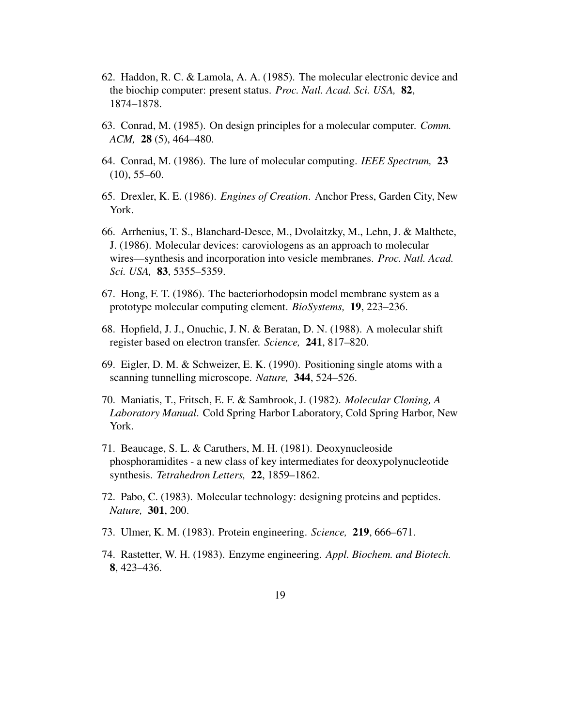- 62. Haddon, R. C. & Lamola, A. A. (1985). The molecular electronic device and the biochip computer: present status. *Proc. Natl. Acad. Sci. USA,* **82**, 1874–1878.
- 63. Conrad, M. (1985). On design principles for a molecular computer. *Comm. ACM,* **28** (5), 464–480.
- 64. Conrad, M. (1986). The lure of molecular computing. *IEEE Spectrum,* **23**  $(10)$ , 55–60.
- 65. Drexler, K. E. (1986). *Engines of Creation*. Anchor Press, Garden City, New York.
- 66. Arrhenius, T. S., Blanchard-Desce, M., Dvolaitzky, M., Lehn, J. & Malthete, J. (1986). Molecular devices: caroviologens as an approach to molecular wires—synthesis and incorporation into vesicle membranes. *Proc. Natl. Acad. Sci. USA,* **83**, 5355–5359.
- 67. Hong, F. T. (1986). The bacteriorhodopsin model membrane system as a prototype molecular computing element. *BioSystems,* **19**, 223–236.
- 68. Hopfield, J. J., Onuchic, J. N. & Beratan, D. N. (1988). A molecular shift register based on electron transfer. *Science,* **241**, 817–820.
- 69. Eigler, D. M. & Schweizer, E. K. (1990). Positioning single atoms with a scanning tunnelling microscope. *Nature,* **344**, 524–526.
- 70. Maniatis, T., Fritsch, E. F. & Sambrook, J. (1982). *Molecular Cloning, A Laboratory Manual*. Cold Spring Harbor Laboratory, Cold Spring Harbor, New York.
- 71. Beaucage, S. L. & Caruthers, M. H. (1981). Deoxynucleoside phosphoramidites - a new class of key intermediates for deoxypolynucleotide synthesis. *Tetrahedron Letters,* **22**, 1859–1862.
- 72. Pabo, C. (1983). Molecular technology: designing proteins and peptides. *Nature,* **301**, 200.
- 73. Ulmer, K. M. (1983). Protein engineering. *Science,* **219**, 666–671.
- 74. Rastetter, W. H. (1983). Enzyme engineering. *Appl. Biochem. and Biotech.* **8**, 423–436.